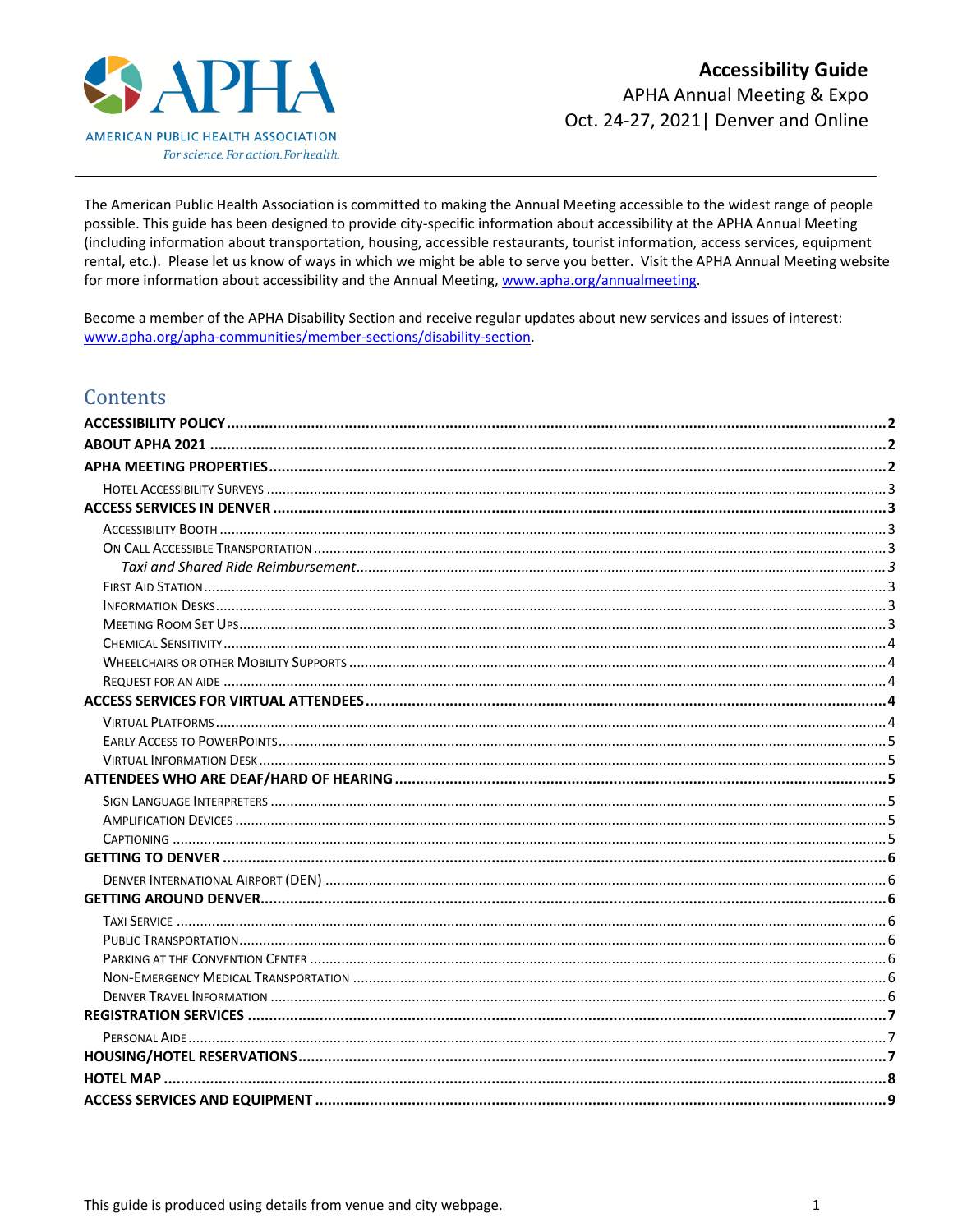

The American Public Health Association is committed to making the Annual Meeting accessible to the widest range of people possible. This guide has been designed to provide city-specific information about accessibility at the APHA Annual Meeting (including information about transportation, housing, accessible restaurants, tourist information, access services, equipment rental, etc.). Please let us know of ways in which we might be able to serve you better. Visit the APHA Annual Meeting website for more information about accessibility and the Annual Meeting, www.apha.org/annualmeeting.

Become a member of the APHA Disability Section and receive regular updates about new services and issues of interest: www.apha.org/apha-communities/member-sections/disability-section.

# Contents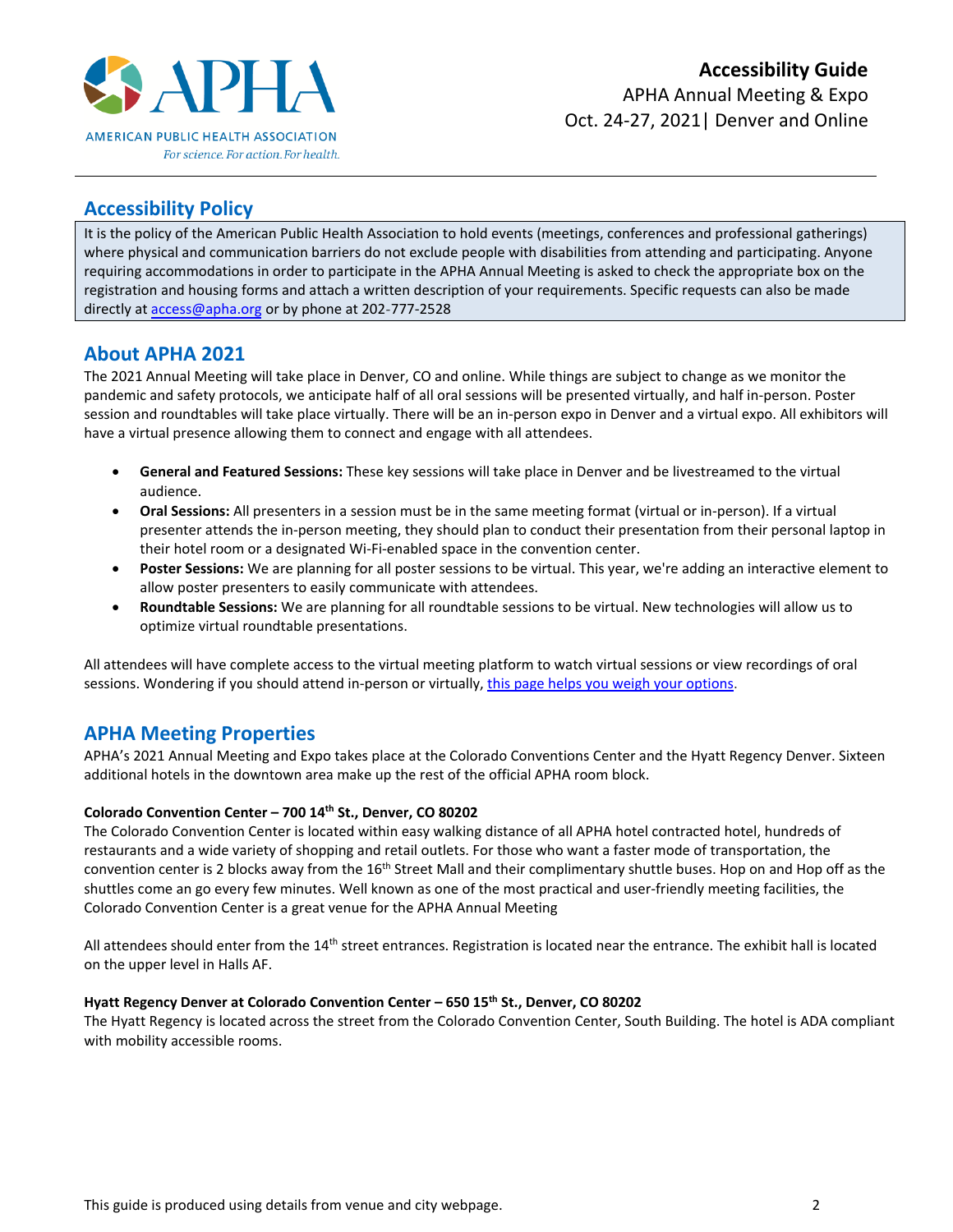

# <span id="page-1-0"></span>**Accessibility Policy**

It is the policy of the American Public Health Association to hold events (meetings, conferences and professional gatherings) where physical and communication barriers do not exclude people with disabilities from attending and participating. Anyone requiring accommodations in order to participate in the APHA Annual Meeting is asked to check the appropriate box on the registration and housing forms and attach a written description of your requirements. Specific requests can also be made directly at [access@apha.org](mailto:access@apha.org) or by phone at 202-777-2528

# <span id="page-1-1"></span>**About APHA 2021**

The 2021 Annual Meeting will take place in Denver, CO and online. While things are subject to change as we monitor the pandemic and safety protocols, we anticipate half of all oral sessions will be presented virtually, and half in-person. Poster session and roundtables will take place virtually. There will be an in-person expo in Denver and a virtual expo. All exhibitors will have a virtual presence allowing them to connect and engage with all attendees.

- **General and Featured Sessions:** These key sessions will take place in Denver and be livestreamed to the virtual audience.
- **Oral Sessions:** All presenters in a session must be in the same meeting format (virtual or in-person). If a virtual presenter attends the in-person meeting, they should plan to conduct their presentation from their personal laptop in their hotel room or a designated Wi-Fi-enabled space in the convention center.
- **Poster Sessions:** We are planning for all poster sessions to be virtual. This year, we're adding an interactive element to allow poster presenters to easily communicate with attendees.
- **Roundtable Sessions:** We are planning for all roundtable sessions to be virtual. New technologies will allow us to optimize virtual roundtable presentations.

All attendees will have complete access to the virtual meeting platform to watch virtual sessions or view recordings of oral sessions. Wondering if you should attend in-person or virtually, [this page helps you weigh your options.](https://apha.org/Events-and-Meetings/Annual/For-Attendees)

# <span id="page-1-2"></span>**APHA Meeting Properties**

APHA's 2021 Annual Meeting and Expo takes place at the Colorado Conventions Center and the Hyatt Regency Denver. Sixteen additional hotels in the downtown area make up the rest of the official APHA room block.

# **Colorado Convention Center – 700 14th St., Denver, CO 80202**

The Colorado Convention Center is located within easy walking distance of all APHA hotel contracted hotel, hundreds of restaurants and a wide variety of shopping and retail outlets. For those who want a faster mode of transportation, the convention center is 2 blocks away from the 16<sup>th</sup> Street Mall and their complimentary shuttle buses. Hop on and Hop off as the shuttles come an go every few minutes. Well known as one of the most practical and user-friendly meeting facilities, the Colorado Convention Center is a great venue for the APHA Annual Meeting

All attendees should enter from the 14<sup>th</sup> street entrances. Registration is located near the entrance. The exhibit hall is located on the upper level in Halls AF.

#### **Hyatt Regency Denver at Colorado Convention Center – 650 15th St., Denver, CO 80202**

The Hyatt Regency is located across the street from the Colorado Convention Center, South Building. The hotel is ADA compliant with mobility accessible rooms.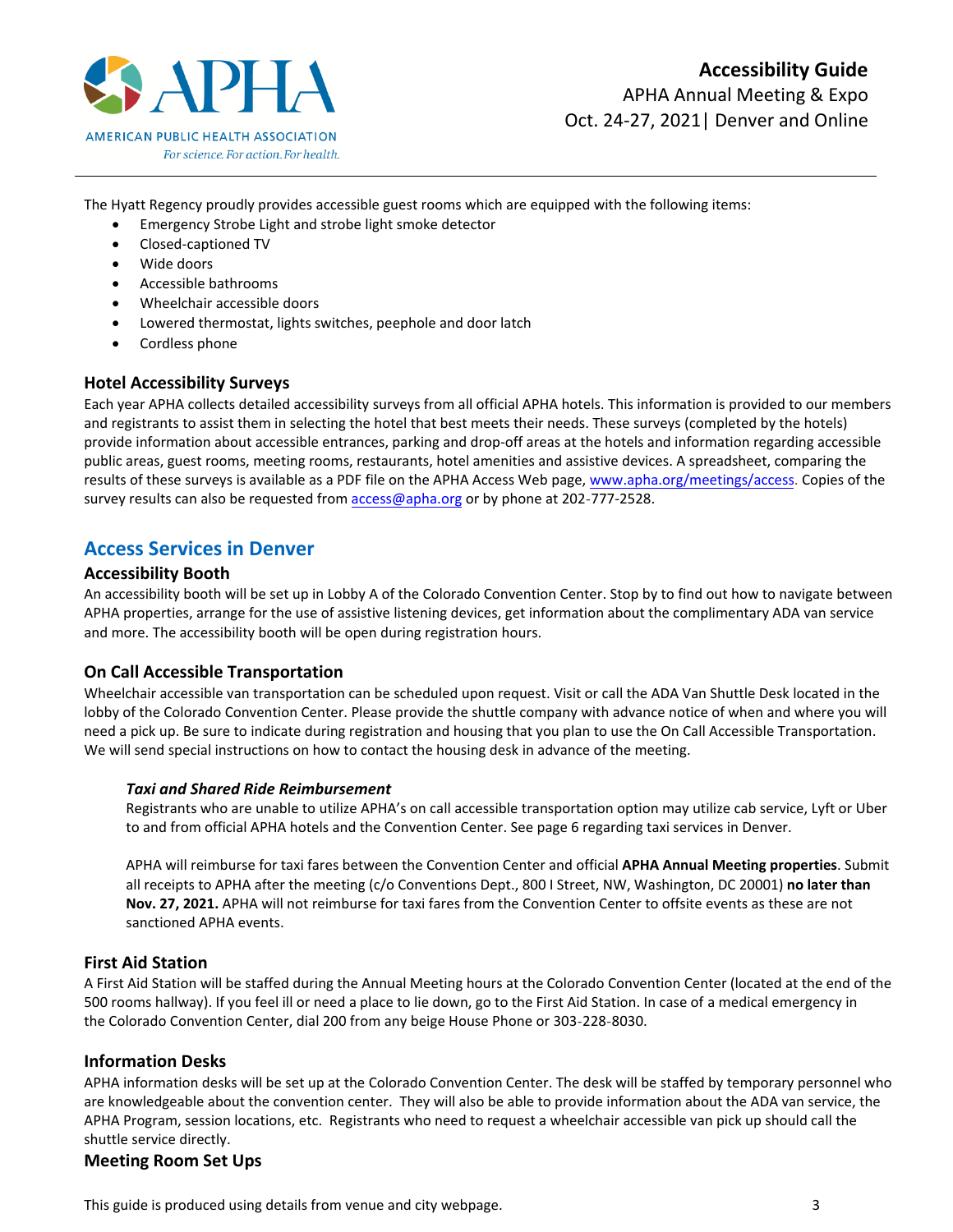

The Hyatt Regency proudly provides accessible guest rooms which are equipped with the following items:

- Emergency Strobe Light and strobe light smoke detector
- Closed-captioned TV
- Wide doors
- Accessible bathrooms
- Wheelchair accessible doors
- Lowered thermostat, lights switches, peephole and door latch
- Cordless phone

# <span id="page-2-0"></span>**Hotel Accessibility Surveys**

Each year APHA collects detailed accessibility surveys from all official APHA hotels. This information is provided to our members and registrants to assist them in selecting the hotel that best meets their needs. These surveys (completed by the hotels) provide information about accessible entrances, parking and drop-off areas at the hotels and information regarding accessible public areas, guest rooms, meeting rooms, restaurants, hotel amenities and assistive devices. A spreadsheet, comparing the results of these surveys is available as a PDF file on the APHA Access Web page, [www.apha.org/meetings/access.](http://www.apha.org/meetings/access) Copies of the survey results can also be requested from [access@apha.org](mailto:access@apha.org) or by phone at 202-777-2528.

# <span id="page-2-1"></span>**Access Services in Denver**

# <span id="page-2-2"></span>**Accessibility Booth**

An accessibility booth will be set up in Lobby A of the Colorado Convention Center. Stop by to find out how to navigate between APHA properties, arrange for the use of assistive listening devices, get information about the complimentary ADA van service and more. The accessibility booth will be open during registration hours.

# <span id="page-2-3"></span>**On Call Accessible Transportation**

Wheelchair accessible van transportation can be scheduled upon request. Visit or call the ADA Van Shuttle Desk located in the lobby of the Colorado Convention Center. Please provide the shuttle company with advance notice of when and where you will need a pick up. Be sure to indicate during registration and housing that you plan to use the On Call Accessible Transportation. We will send special instructions on how to contact the housing desk in advance of the meeting.

# <span id="page-2-4"></span>*Taxi and Shared Ride Reimbursement*

Registrants who are unable to utilize APHA's on call accessible transportation option may utilize cab service, Lyft or Uber to and from official APHA hotels and the Convention Center. See page 6 regarding taxi services in Denver.

APHA will reimburse for taxi fares between the Convention Center and official **APHA Annual Meeting properties**. Submit all receipts to APHA after the meeting (c/o Conventions Dept., 800 I Street, NW, Washington, DC 20001) **no later than Nov. 27, 2021.** APHA will not reimburse for taxi fares from the Convention Center to offsite events as these are not sanctioned APHA events.

# <span id="page-2-5"></span>**First Aid Station**

A First Aid Station will be staffed during the Annual Meeting hours at the Colorado Convention Center (located at the end of the 500 rooms hallway). If you feel ill or need a place to lie down, go to the First Aid Station. In case of a medical emergency in the Colorado Convention Center, dial 200 from any beige House Phone or 303-228-8030.

# <span id="page-2-6"></span>**Information Desks**

APHA information desks will be set up at the Colorado Convention Center. The desk will be staffed by temporary personnel who are knowledgeable about the convention center. They will also be able to provide information about the ADA van service, the APHA Program, session locations, etc. Registrants who need to request a wheelchair accessible van pick up should call the shuttle service directly.

# <span id="page-2-7"></span>**Meeting Room Set Ups**

This guide is produced using details from venue and city webpage.  $\qquad \qquad$  3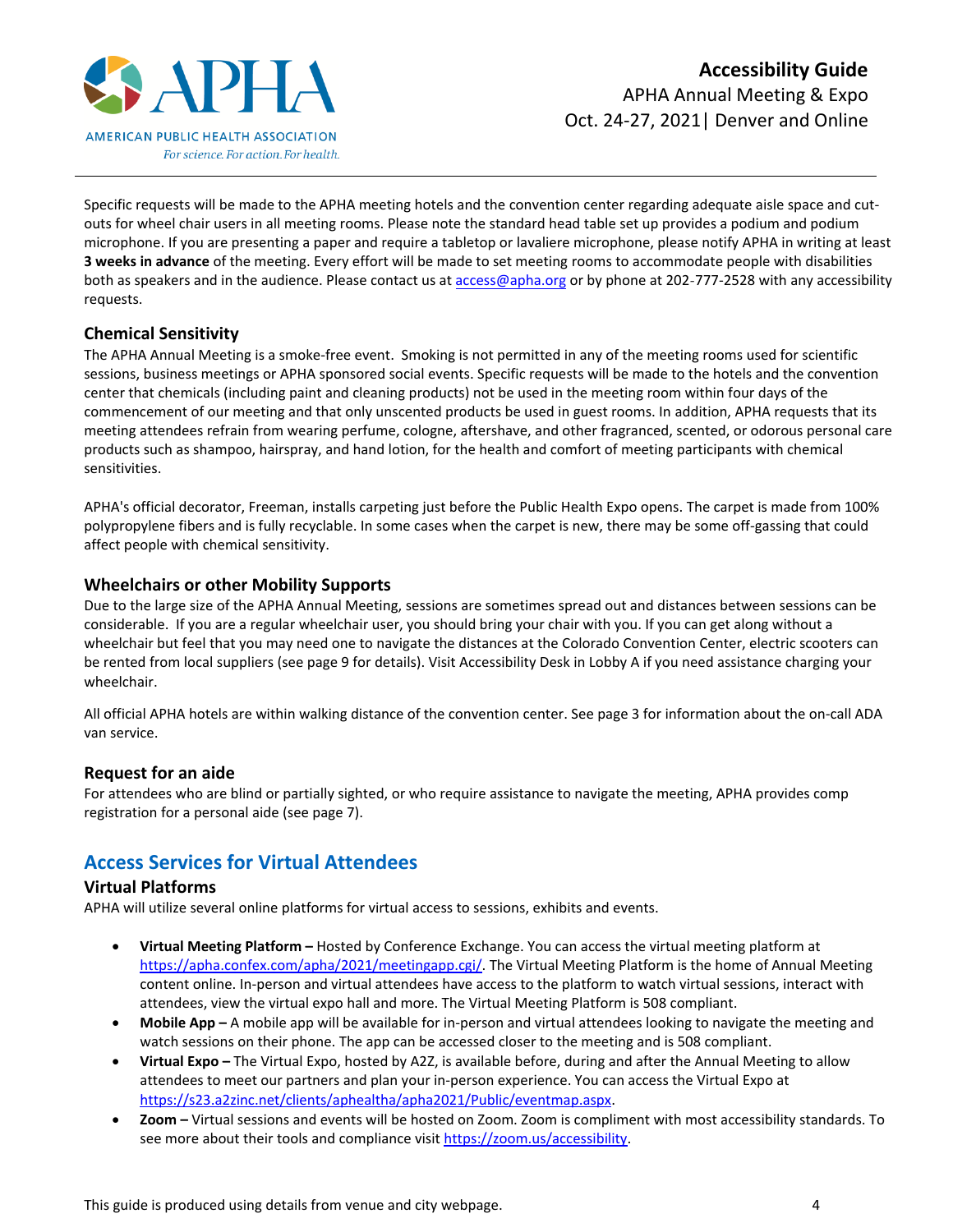

Specific requests will be made to the APHA meeting hotels and the convention center regarding adequate aisle space and cutouts for wheel chair users in all meeting rooms. Please note the standard head table set up provides a podium and podium microphone. If you are presenting a paper and require a tabletop or lavaliere microphone, please notify APHA in writing at least **3 weeks in advance** of the meeting. Every effort will be made to set meeting rooms to accommodate people with disabilities both as speakers and in the audience. Please contact us at [access@apha.org](mailto:access@apha.org) or by phone at 202-777-2528 with any accessibility requests.

# <span id="page-3-0"></span>**Chemical Sensitivity**

The APHA Annual Meeting is a smoke-free event. Smoking is not permitted in any of the meeting rooms used for scientific sessions, business meetings or APHA sponsored social events. Specific requests will be made to the hotels and the convention center that chemicals (including paint and cleaning products) not be used in the meeting room within four days of the commencement of our meeting and that only unscented products be used in guest rooms. In addition, APHA requests that its meeting attendees refrain from wearing perfume, cologne, aftershave, and other fragranced, scented, or odorous personal care products such as shampoo, hairspray, and hand lotion, for the health and comfort of meeting participants with chemical sensitivities.

APHA's official decorator, Freeman, installs carpeting just before the Public Health Expo opens. The carpet is made from 100% polypropylene fibers and is fully recyclable. In some cases when the carpet is new, there may be some off-gassing that could affect people with chemical sensitivity.

# <span id="page-3-1"></span>**Wheelchairs or other Mobility Supports**

Due to the large size of the APHA Annual Meeting, sessions are sometimes spread out and distances between sessions can be considerable. If you are a regular wheelchair user, you should bring your chair with you. If you can get along without a wheelchair but feel that you may need one to navigate the distances at the Colorado Convention Center, electric scooters can be rented from local suppliers (see page 9 for details). Visit Accessibility Desk in Lobby A if you need assistance charging your wheelchair.

All official APHA hotels are within walking distance of the convention center. See page 3 for information about the on-call ADA van service.

# <span id="page-3-2"></span>**Request for an aide**

For attendees who are blind or partially sighted, or who require assistance to navigate the meeting, APHA provides comp registration for a personal aide (see page 7).

# <span id="page-3-3"></span>**Access Services for Virtual Attendees**

# <span id="page-3-4"></span>**Virtual Platforms**

APHA will utilize several online platforms for virtual access to sessions, exhibits and events.

- **Virtual Meeting Platform –** Hosted by Conference Exchange. You can access the virtual meeting platform at [https://apha.confex.com/apha/2021/meetingapp.cgi/.](https://apha.confex.com/apha/2021/meetingapp.cgi/) The Virtual Meeting Platform is the home of Annual Meeting content online. In-person and virtual attendees have access to the platform to watch virtual sessions, interact with attendees, view the virtual expo hall and more. The Virtual Meeting Platform is 508 compliant.
- **Mobile App –** A mobile app will be available for in-person and virtual attendees looking to navigate the meeting and watch sessions on their phone. The app can be accessed closer to the meeting and is 508 compliant.
- **Virtual Expo –** The Virtual Expo, hosted by A2Z, is available before, during and after the Annual Meeting to allow attendees to meet our partners and plan your in-person experience. You can access the Virtual Expo at [https://s23.a2zinc.net/clients/aphealtha/apha2021/Public/eventmap.aspx.](https://s23.a2zinc.net/clients/aphealtha/apha2021/Public/eventmap.aspx)
- **Zoom –** Virtual sessions and events will be hosted on Zoom. Zoom is compliment with most accessibility standards. To see more about their tools and compliance visi[t https://zoom.us/accessibility.](https://zoom.us/accessibility)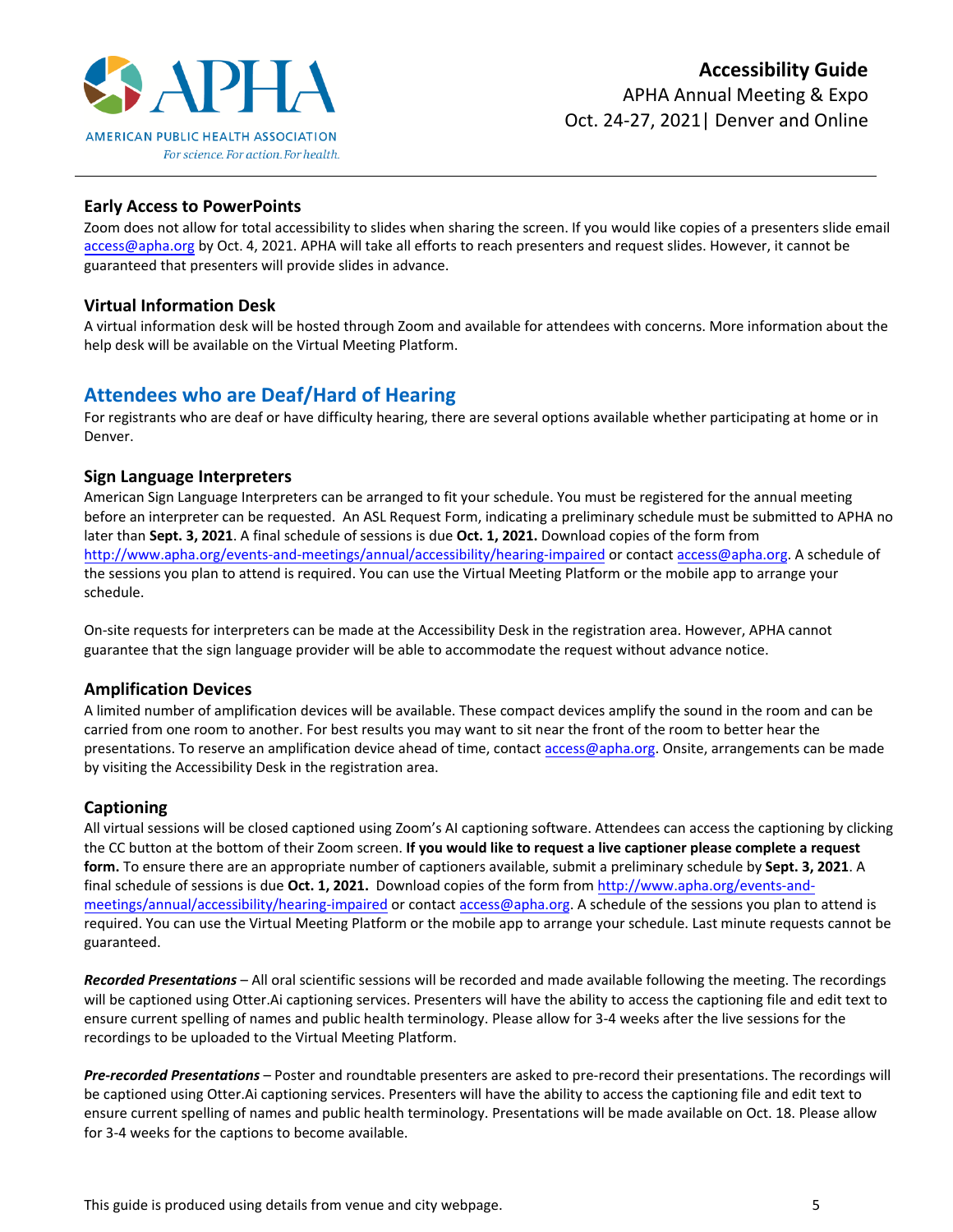

# <span id="page-4-0"></span>**Early Access to PowerPoints**

Zoom does not allow for total accessibility to slides when sharing the screen. If you would like copies of a presenters slide email [access@apha.org](mailto:access@apha.org) by Oct. 4, 2021. APHA will take all efforts to reach presenters and request slides. However, it cannot be guaranteed that presenters will provide slides in advance.

#### <span id="page-4-1"></span>**Virtual Information Desk**

A virtual information desk will be hosted through Zoom and available for attendees with concerns. More information about the help desk will be available on the Virtual Meeting Platform.

# <span id="page-4-2"></span>**Attendees who are Deaf/Hard of Hearing**

For registrants who are deaf or have difficulty hearing, there are several options available whether participating at home or in Denver.

#### <span id="page-4-3"></span>**Sign Language Interpreters**

American Sign Language Interpreters can be arranged to fit your schedule. You must be registered for the annual meeting before an interpreter can be requested. An ASL Request Form, indicating a preliminary schedule must be submitted to APHA no later than **Sept. 3, 2021**. A final schedule of sessions is due **Oct. 1, 2021.** Download copies of the form from <http://www.apha.org/events-and-meetings/annual/accessibility/hearing-impaired> or contact [access@apha.org.](mailto:access@apha.org) A schedule of the sessions you plan to attend is required. You can use the Virtual Meeting Platform or the mobile app to arrange your schedule.

On-site requests for interpreters can be made at the Accessibility Desk in the registration area. However, APHA cannot guarantee that the sign language provider will be able to accommodate the request without advance notice.

# <span id="page-4-4"></span>**Amplification Devices**

A limited number of amplification devices will be available. These compact devices amplify the sound in the room and can be carried from one room to another. For best results you may want to sit near the front of the room to better hear the presentations. To reserve an amplification device ahead of time, contact [access@apha.org.](mailto:access@apha.org) Onsite, arrangements can be made by visiting the Accessibility Desk in the registration area.

# <span id="page-4-5"></span>**Captioning**

All virtual sessions will be closed captioned using Zoom's AI captioning software. Attendees can access the captioning by clicking the CC button at the bottom of their Zoom screen. **If you would like to request a live captioner please complete a request form.** To ensure there are an appropriate number of captioners available, submit a preliminary schedule by **Sept. 3, 2021**. A final schedule of sessions is due **Oct. 1, 2021.** Download copies of the form from [http://www.apha.org/events-and](http://www.apha.org/events-and-meetings/annual/accessibility/hearing-impaired)[meetings/annual/accessibility/hearing-impaired](http://www.apha.org/events-and-meetings/annual/accessibility/hearing-impaired) or contac[t access@apha.org.](mailto:access@apha.org) A schedule of the sessions you plan to attend is required. You can use the Virtual Meeting Platform or the mobile app to arrange your schedule. Last minute requests cannot be guaranteed.

*Recorded Presentations* – All oral scientific sessions will be recorded and made available following the meeting. The recordings will be captioned using Otter.Ai captioning services. Presenters will have the ability to access the captioning file and edit text to ensure current spelling of names and public health terminology. Please allow for 3-4 weeks after the live sessions for the recordings to be uploaded to the Virtual Meeting Platform.

*Pre-recorded Presentations* – Poster and roundtable presenters are asked to pre-record their presentations. The recordings will be captioned using Otter.Ai captioning services. Presenters will have the ability to access the captioning file and edit text to ensure current spelling of names and public health terminology. Presentations will be made available on Oct. 18. Please allow for 3-4 weeks for the captions to become available.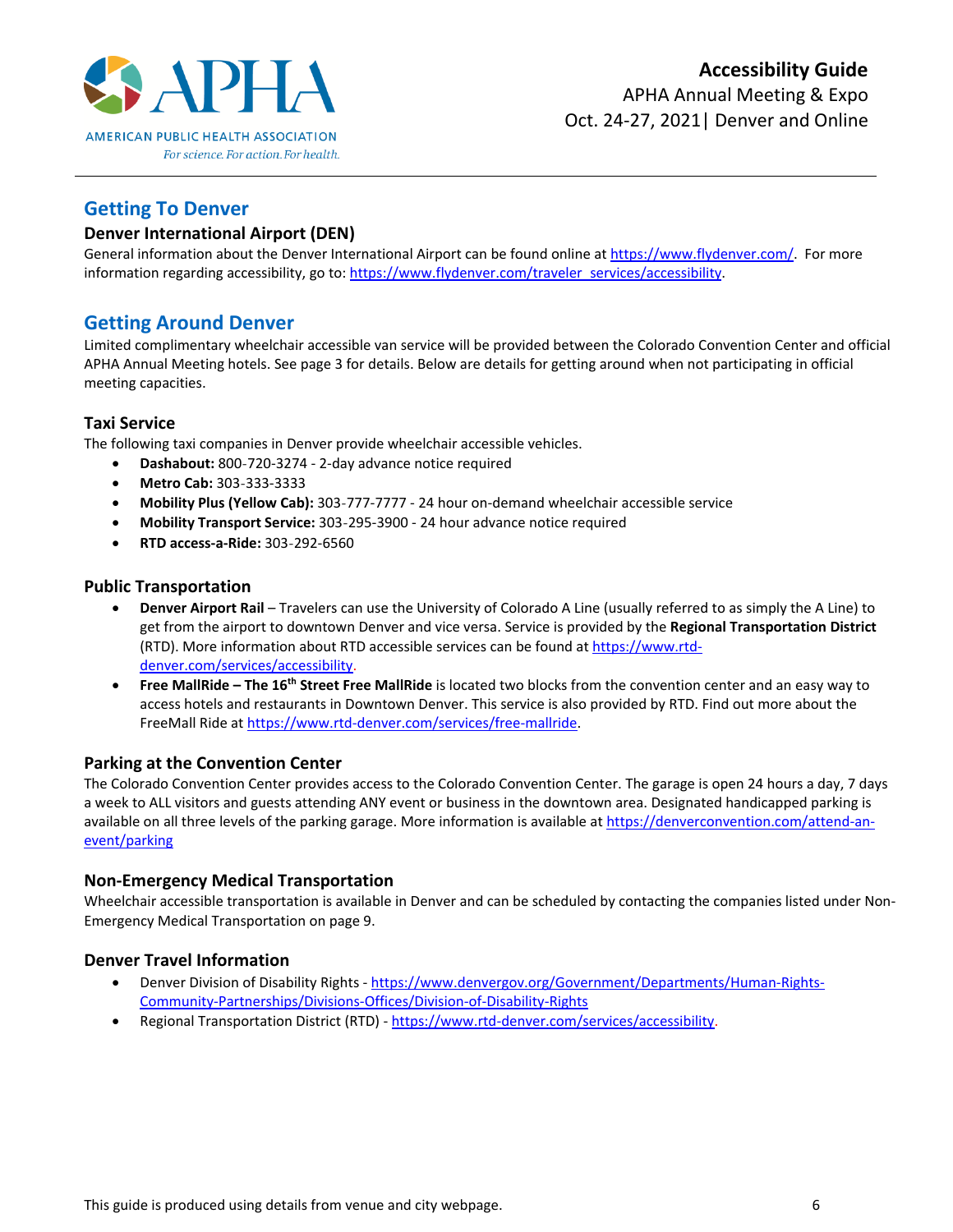

# <span id="page-5-0"></span>**Getting To Denver**

# <span id="page-5-1"></span>**Denver International Airport (DEN)**

General information about the Denver International Airport can be found online at [https://www.flydenver.com/.](https://www.flydenver.com/) For more information regarding accessibility, go to[: https://www.flydenver.com/traveler\\_services/accessibility.](https://www.flydenver.com/traveler_services/accessibility)

# <span id="page-5-2"></span>**Getting Around Denver**

Limited complimentary wheelchair accessible van service will be provided between the Colorado Convention Center and official APHA Annual Meeting hotels. See page 3 for details. Below are details for getting around when not participating in official meeting capacities.

# <span id="page-5-3"></span>**Taxi Service**

The following taxi companies in Denver provide wheelchair accessible vehicles.

- **Dashabout:** 800-720-3274 2-day advance notice required
- **Metro Cab:** 303-333-3333
- **Mobility Plus (Yellow Cab):** 303-777-7777 24 hour on-demand wheelchair accessible service
- **Mobility Transport Service:** 303-295-3900 24 hour advance notice required
- **RTD access-a-Ride:** 303-292-6560

# <span id="page-5-4"></span>**Public Transportation**

- **Denver Airport Rail** Travelers can use the University of Colorado A Line (usually referred to as simply the A Line) to get from the airport to downtown Denver and vice versa. Service is provided by the **Regional Transportation District** (RTD). More information about RTD accessible services can be found at [https://www.rtd](https://www.rtd-denver.com/services/accessibility)[denver.com/services/accessibility.](https://www.rtd-denver.com/services/accessibility)
- **Free MallRide – The 16th Street Free MallRide** is located two blocks from the convention center and an easy way to access hotels and restaurants in Downtown Denver. This service is also provided by RTD. Find out more about the FreeMall Ride at [https://www.rtd-denver.com/services/free-mallride.](https://www.rtd-denver.com/services/free-mallride)

# <span id="page-5-5"></span>**Parking at the Convention Center**

The Colorado Convention Center provides access to the Colorado Convention Center. The garage is open 24 hours a day, 7 days a week to ALL visitors and guests attending ANY event or business in the downtown area. Designated handicapped parking is available on all three levels of the parking garage. More information is available at [https://denverconvention.com/attend-an](https://denverconvention.com/attend-an-event/parking)[event/parking](https://denverconvention.com/attend-an-event/parking)

# <span id="page-5-6"></span>**Non-Emergency Medical Transportation**

Wheelchair accessible transportation is available in Denver and can be scheduled by contacting the companies listed under Non-Emergency Medical Transportation on page 9.

# <span id="page-5-7"></span>**Denver Travel Information**

- Denver Division of Disability Rights [https://www.denvergov.org/Government/Departments/Human-Rights-](https://www.denvergov.org/Government/Departments/Human-Rights-Community-Partnerships/Divisions-Offices/Division-of-Disability-Rights)[Community-Partnerships/Divisions-Offices/Division-of-Disability-Rights](https://www.denvergov.org/Government/Departments/Human-Rights-Community-Partnerships/Divisions-Offices/Division-of-Disability-Rights)
- Regional Transportation District (RTD) [https://www.rtd-denver.com/services/accessibility.](https://www.rtd-denver.com/services/accessibility)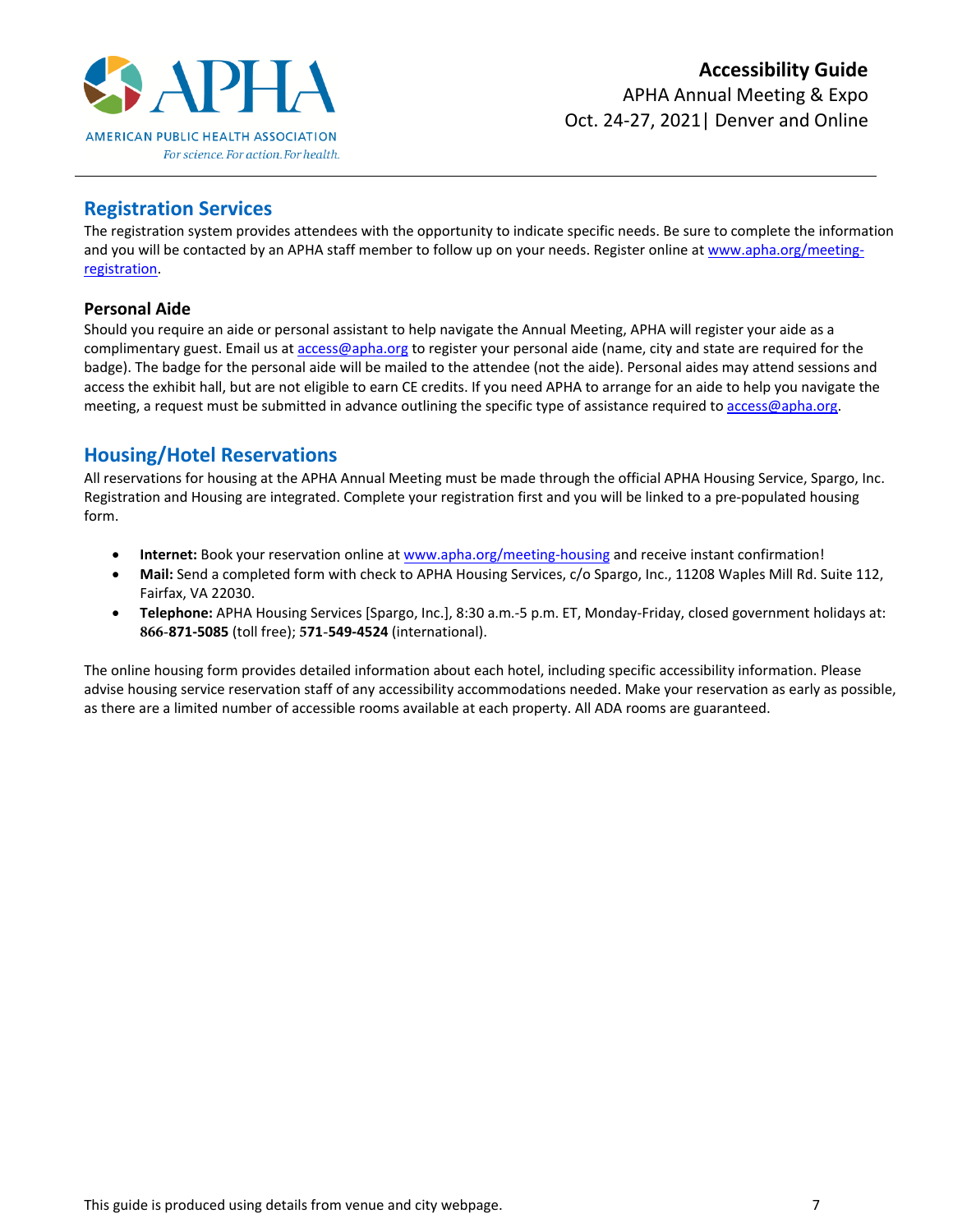

# <span id="page-6-0"></span>**Registration Services**

The registration system provides attendees with the opportunity to indicate specific needs. Be sure to complete the information and you will be contacted by an APHA staff member to follow up on your needs. Register online at [www.apha.org/meeting](http://www.apha.org/meeting-registration)[registration.](http://www.apha.org/meeting-registration)

# <span id="page-6-1"></span>**Personal Aide**

Should you require an aide or personal assistant to help navigate the Annual Meeting, APHA will register your aide as a complimentary guest. Email us a[t access@apha.org](mailto:access@apha.org) to register your personal aide (name, city and state are required for the badge). The badge for the personal aide will be mailed to the attendee (not the aide). Personal aides may attend sessions and access the exhibit hall, but are not eligible to earn CE credits. If you need APHA to arrange for an aide to help you navigate the meeting, a request must be submitted in advance outlining the specific type of assistance required to access@apha.org.

# <span id="page-6-2"></span>**Housing/Hotel Reservations**

All reservations for housing at the APHA Annual Meeting must be made through the official APHA Housing Service, Spargo, Inc. Registration and Housing are integrated. Complete your registration first and you will be linked to a pre-populated housing form.

- **Internet:** Book your reservation online at [www.apha.org/meeting-housing](file://///apha3/Dept2/Convention/2021%20DENVER/Accessibility/www.apha.org/meeting-housing) and receive instant confirmation!
- **Mail:** Send a completed form with check to APHA Housing Services, c/o Spargo, Inc., 11208 Waples Mill Rd. Suite 112, Fairfax, VA 22030.
- **Telephone:** APHA Housing Services [Spargo, Inc.], 8:30 a.m.-5 p.m. ET, Monday-Friday, closed government holidays at: **866-871-5085** (toll free); **571-549-4524** (international).

The online housing form provides detailed information about each hotel, including specific accessibility information. Please advise housing service reservation staff of any accessibility accommodations needed. Make your reservation as early as possible, as there are a limited number of accessible rooms available at each property. All ADA rooms are guaranteed.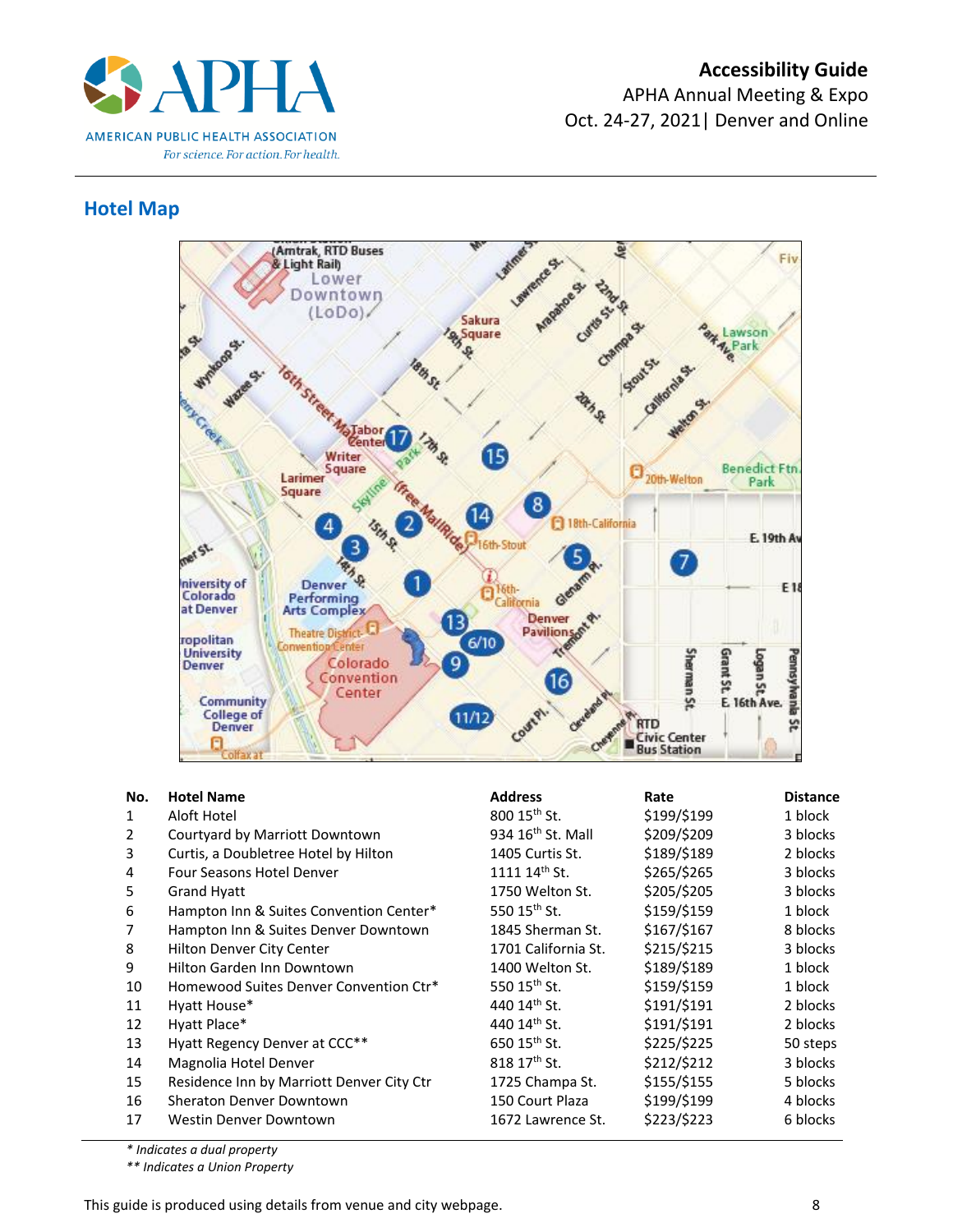

# <span id="page-7-0"></span>**Hotel Map**



| No.<br>$\mathbf{1}$<br>2<br>3<br>4<br>5<br>6<br>8<br>9<br>10<br>11<br>12<br>13<br>14 | <b>Hotel Name</b><br>Aloft Hotel<br>Courtyard by Marriott Downtown<br>Curtis, a Doubletree Hotel by Hilton<br>Four Seasons Hotel Denver<br><b>Grand Hyatt</b><br>Hampton Inn & Suites Convention Center*<br>Hampton Inn & Suites Denver Downtown<br>Hilton Denver City Center<br>Hilton Garden Inn Downtown<br>Homewood Suites Denver Convention Ctr*<br>Hyatt House*<br>Hyatt Place*<br>Hyatt Regency Denver at CCC** | <b>Address</b><br>$800$ 15 <sup>th</sup> St.<br>934 $16th$ St. Mall<br>1405 Curtis St.<br>$111114$ <sup>th</sup> St.<br>1750 Welton St.<br>550 $15^{\text{th}}$ St.<br>1845 Sherman St.<br>1701 California St.<br>1400 Welton St.<br>550 15 <sup>th</sup> St.<br>440 14 <sup>th</sup> St.<br>440 14th St.<br>650 15 <sup>th</sup> St. | Rate<br>\$199/\$199<br>\$209/\$209<br>\$189/\$189<br>\$265/\$265<br>\$205/\$205<br>\$159/\$159<br>\$167/\$167<br>\$215/\$215<br>\$189/\$189<br>\$159/\$159<br>\$191/\$191<br>\$191/\$191<br>\$225/\$225 | <b>Distance</b><br>1 block<br>3 blocks<br>2 blocks<br>3 blocks<br>3 blocks<br>1 block<br>8 blocks<br>3 blocks<br>1 block<br>1 block<br>2 blocks<br>2 blocks<br>50 steps<br>3 blocks |
|--------------------------------------------------------------------------------------|------------------------------------------------------------------------------------------------------------------------------------------------------------------------------------------------------------------------------------------------------------------------------------------------------------------------------------------------------------------------------------------------------------------------|---------------------------------------------------------------------------------------------------------------------------------------------------------------------------------------------------------------------------------------------------------------------------------------------------------------------------------------|---------------------------------------------------------------------------------------------------------------------------------------------------------------------------------------------------------|-------------------------------------------------------------------------------------------------------------------------------------------------------------------------------------|
| 15<br>16<br>17                                                                       | Magnolia Hotel Denver<br>Residence Inn by Marriott Denver City Ctr<br>Sheraton Denver Downtown<br>Westin Denver Downtown                                                                                                                                                                                                                                                                                               | 818 17th St.<br>1725 Champa St.<br>150 Court Plaza<br>1672 Lawrence St.                                                                                                                                                                                                                                                               | \$212/\$212<br>\$155/\$155<br>\$199/\$199<br>\$223/\$223                                                                                                                                                | 5 blocks<br>4 blocks<br>6 blocks                                                                                                                                                    |

*\* Indicates a dual property*

*\*\* Indicates a Union Property*

This guide is produced using details from venue and city webpage. **Example 20** 8